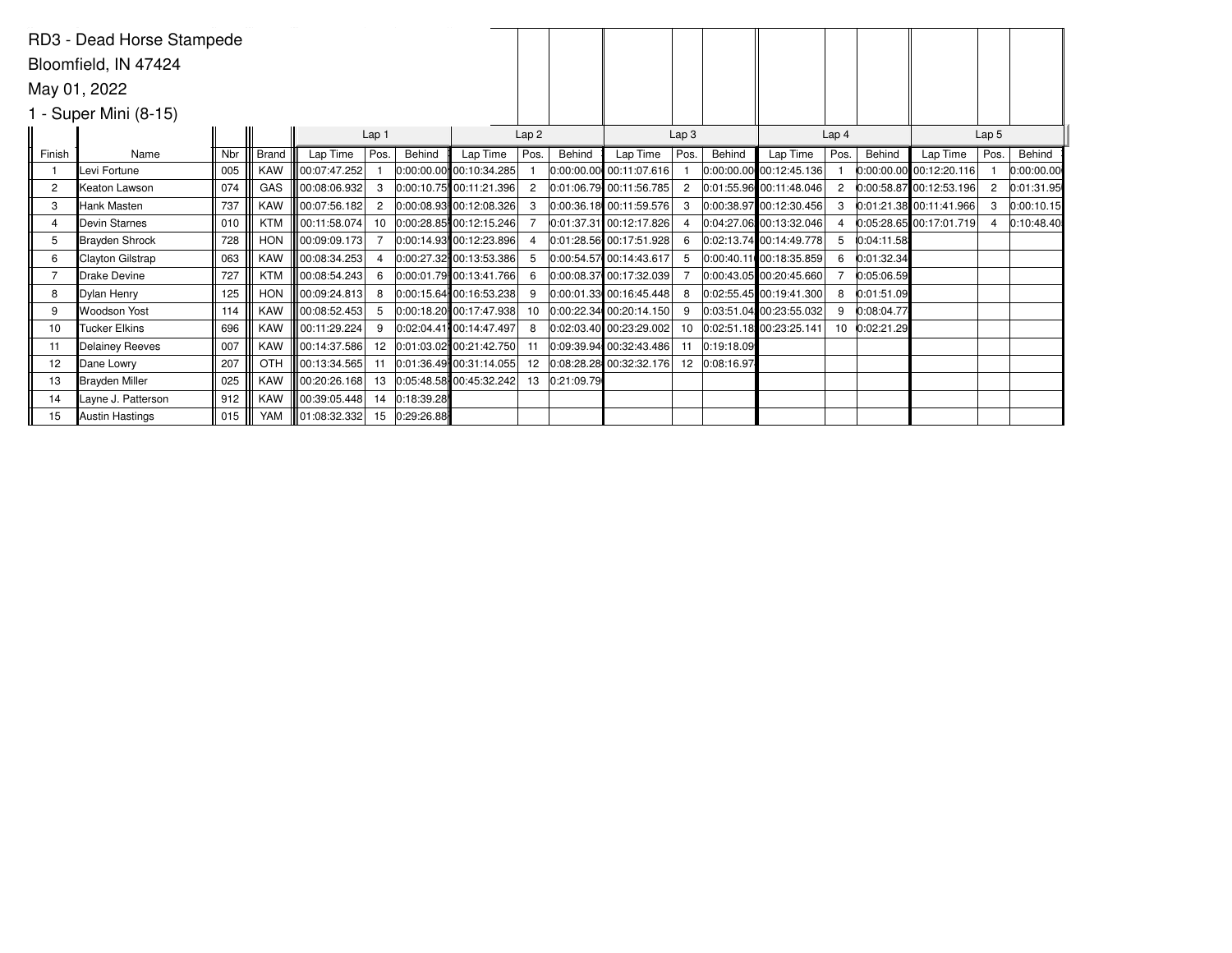| RD3 - Dead Horse Stampede |                      |                  |            |              |                |            |                           |                  |            |                         |                  |            |                             |                  |            |                           |                  |            |
|---------------------------|----------------------|------------------|------------|--------------|----------------|------------|---------------------------|------------------|------------|-------------------------|------------------|------------|-----------------------------|------------------|------------|---------------------------|------------------|------------|
|                           | Bloomfield, IN 47424 |                  |            |              |                |            |                           |                  |            |                         |                  |            |                             |                  |            |                           |                  |            |
|                           | May 01, 2022         |                  |            |              |                |            |                           |                  |            |                         |                  |            |                             |                  |            |                           |                  |            |
| $1 - Super Mini (8-15)$   |                      |                  |            |              |                |            |                           |                  |            |                         |                  |            |                             |                  |            |                           |                  |            |
|                           |                      | Lap <sub>1</sub> |            |              |                |            |                           | Lap <sub>2</sub> |            |                         | Lap <sub>3</sub> |            |                             | Lap <sub>4</sub> |            |                           | Lap <sub>5</sub> |            |
| Finish                    | Name                 | Nbr              | Brand      | Lap Time     | Pos.'          | Behind     | Lap Time                  | Pos.             | Behind     | Lap Time                | Pos.             | Behind     | Lap Time                    | Pos.             | Behind     | Lap Time                  | Pos.             | Behind     |
|                           | Levi Fortune         | 005              | <b>KAW</b> | 00:07:47.252 |                |            | 0:00:00.00 00:10:34.285   |                  |            | 0:00:00.00 00:11:07.616 |                  |            | $ 0:00:00.00 $ 00:12:45.136 |                  |            | $0:00:00.00$ 00:12:20.116 |                  | 0:00:00.00 |
| 2                         | Keaton Lawson        | 074              | GAS        | 00:08:06.932 | 3              |            | $0:00:10.75$ 00:11:21.396 |                  |            | 0:01:06.79 00:11:56.785 | 2                |            | $0:01:55.96$ 00:11:48.046   | 2                |            | $0:00:58.87$ 00:12:53.196 |                  | 0:01:31.95 |
| 3                         | Hank Masten          | 737              | <b>KAW</b> | 00:07:56.182 | $\overline{2}$ |            | $0:00:08.93$ 00:12:08.326 |                  |            | 0:00:36.18 00:11:59.576 | 3                |            | 0:00:38.97 00:12:30.456     | 3                |            | $0:01:21.38$ 00:11:41.966 | 3                | 0:00:10.15 |
| 4                         | Devin Starnes        | 010              | KTM        | 00:11:58.074 | 10             |            | 0:00:28.85 00:12:15.246   |                  |            | 0:01:37.31 00:12:17.826 |                  |            | 0:04:27.06 00:13:32.046     |                  |            | 0:05:28.65 00:17:01.719   |                  | 0:10:48.40 |
| 5                         | Brayden Shrock       | 728              | <b>HON</b> | 00:09:09.173 |                |            | 0:00:14.93 00:12:23.896   |                  |            | 0:01:28.56 00:17:51.928 | 6                |            | 0:02:13.74 00:14:49.778     | 5                | 0:04:11.58 |                           |                  |            |
| 6                         | Clayton Gilstrap     | 063              | <b>KAW</b> | 00:08:34.253 | 4              |            | 0:00:27.32 00:13:53.386   |                  |            | 0:00:54.57 00:14:43.617 |                  |            | 0:00:40.11 00:18:35.859     | 6                | 0:01:32.34 |                           |                  |            |
|                           | <b>IDrake Devine</b> | 727              | <b>KTM</b> | 00:08:54.243 | 6              |            | 0:00:01.79 00:13:41.766   | 6                |            | 0:00:08.37 00:17:32.039 |                  |            | $0:00:43.05$ 00:20:45.660   |                  | 0:05:06.59 |                           |                  |            |
| 8                         | Dylan Henry          | 125              | <b>HON</b> | 00:09:24.813 | 8              |            | $0:00:15.64$ 00:16:53.238 |                  |            | 0:00:01.33 00:16:45.448 | 8                |            | $ 0.02:55.45 $ 00:19:41.300 | 8                | 0:01:51.09 |                           |                  |            |
| 9                         | Woodson Yost         | 114              | <b>KAW</b> | 00:08:52.453 | -5             |            | 0:00:18.20 00:17:47.938   | 10               |            | 0:00:22.34 00:20:14.150 | 9                |            | $0.03:51.04$ 00:23:55.032   | 9                | 0:08:04.77 |                           |                  |            |
| 10                        | <b>Tucker Elkins</b> | 696              | <b>KAW</b> | 00:11:29.224 | 9              |            | 0:02:04.41 00:14:47.497   |                  |            | 0:02:03.40 00:23:29.002 | 10               |            | 0:02:51.18 00:23:25.141     | 10               | 0:02:21.29 |                           |                  |            |
| 11                        | Delainey Reeves      | 007              | KAW        | 00:14:37.586 | 12             |            | $0:01:03.02$ 00:21:42.750 |                  |            | 0:09:39.94 00:32:43.486 |                  | 0:19:18.09 |                             |                  |            |                           |                  |            |
| 12                        | Dane Lowry           | 207              | OTH        | 00:13:34.565 | 11             |            | 0:01:36.49 00:31:14.055   | 12               |            | 0:08:28.28 00:32:32.176 | 12               | 0:08:16.97 |                             |                  |            |                           |                  |            |
| 13                        | Brayden Miller       | 025              | <b>KAW</b> | 00:20:26.168 | 13             |            | $0:05:48.58$ 00:45:32.242 | 13               | 0:21:09.79 |                         |                  |            |                             |                  |            |                           |                  |            |
| 14                        | Layne J. Patterson   | 912              | <b>KAW</b> | 00:39:05.448 | 14             | 0:18:39.28 |                           |                  |            |                         |                  |            |                             |                  |            |                           |                  |            |
| 15                        | Austin Hastings      | 015              | <b>YAM</b> | 01:08:32.332 | 15             | 0:29:26.88 |                           |                  |            |                         |                  |            |                             |                  |            |                           |                  |            |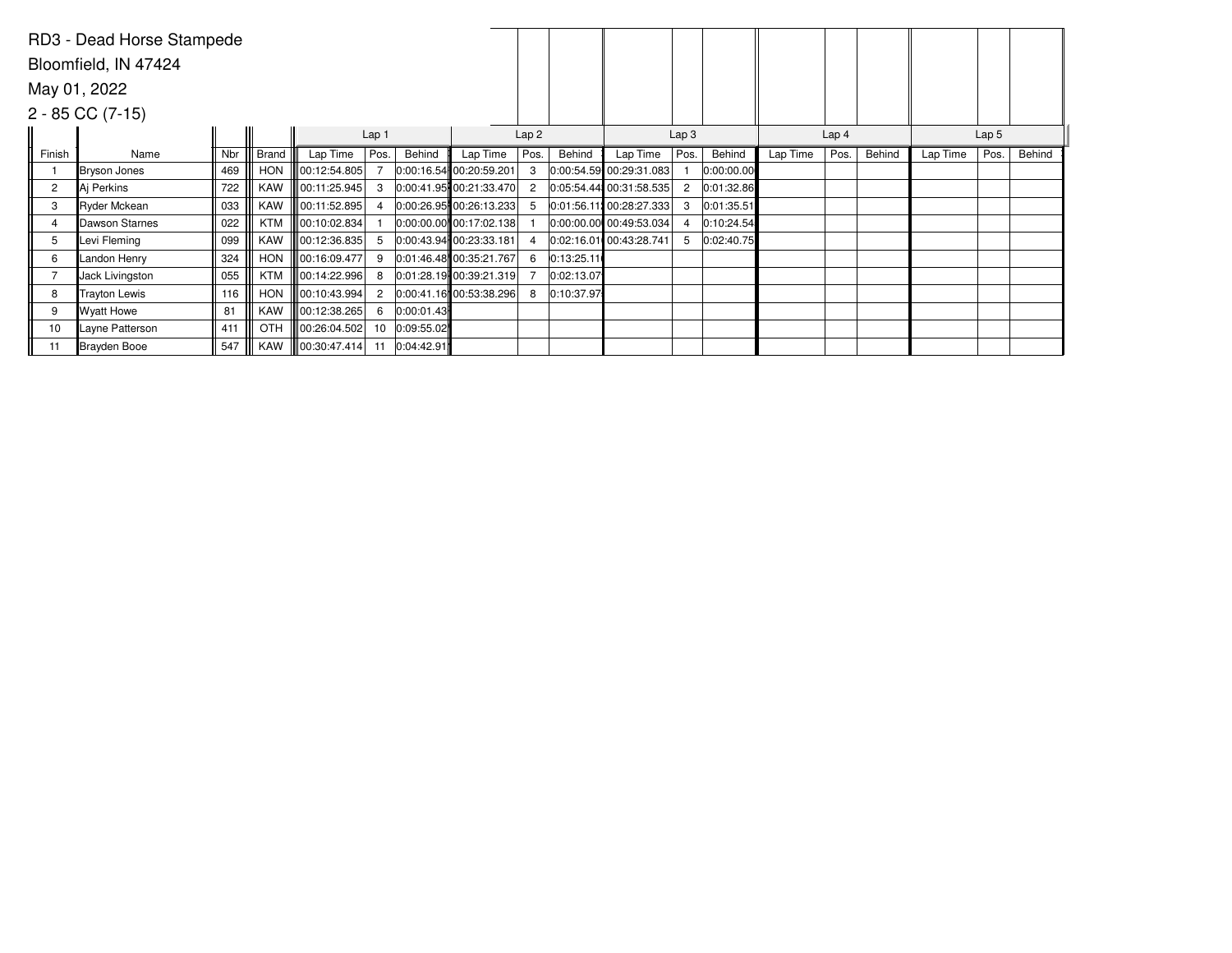| RD3 - Dead Horse Stampede |                      |     |              |                          |                |            |                             |                |            |                          |                  |            |          |                  |        |                  |      |        |
|---------------------------|----------------------|-----|--------------|--------------------------|----------------|------------|-----------------------------|----------------|------------|--------------------------|------------------|------------|----------|------------------|--------|------------------|------|--------|
| Bloomfield, IN 47424      |                      |     |              |                          |                |            |                             |                |            |                          |                  |            |          |                  |        |                  |      |        |
|                           | May 01, 2022         |     |              |                          |                |            |                             |                |            |                          |                  |            |          |                  |        |                  |      |        |
|                           | $2 - 85 CC (7-15)$   |     |              |                          |                |            |                             |                |            |                          |                  |            |          |                  |        |                  |      |        |
| Lap <sub>1</sub>          |                      |     |              |                          |                |            |                             |                | Lap2       |                          | Lap <sub>3</sub> |            |          | Lap <sub>4</sub> |        | Lap <sub>5</sub> |      |        |
| Finish                    | Name                 | Nbr | <b>Brand</b> | Lap Time                 | Pos.           | Behind     | Lap Time                    | Pos.           | Behind     | Lap Time                 | Pos.             | Behind     | Lap Time | Pos.             | Behind | Lap Time         | Pos. | Behind |
|                           | Bryson Jones         | 469 | <b>HON</b>   | $\ 00:12:54.805\ $       |                |            | 0:00:16.54 00:20:59.201     | 3              |            | 0:00:54.59 00:29:31.083  |                  | 0:00:00.00 |          |                  |        |                  |      |        |
| $\overline{c}$            | ∥Ai Perkins          | 722 | <b>KAW</b>   | 00:11:25.945             | 3              |            | 0:00:41.95 00:21:33.470     | $\overline{2}$ |            | 0:05:54.44 00:31:58.535  | $^{2}$           | 0:01:32.86 |          |                  |        |                  |      |        |
| 3                         | <b>Ryder Mckean</b>  | 033 | <b>KAW</b>   | 00:11:52.895             | 4              |            | 0:00:26.95 00:26:13.233     | 5              |            | 0:01:56.11: 00:28:27.333 | 3                | 0:01:35.51 |          |                  |        |                  |      |        |
| 4                         | Dawson Starnes       | 022 | <b>KTM</b>   | $\parallel$ 00:10:02.834 |                |            | $ 0:00:00.00 $ 00:17:02.138 |                |            | 0:00:00.00 00:49:53.034  | $\overline{4}$   | 0:10:24.54 |          |                  |        |                  |      |        |
| 5                         | Levi Fleming         | 099 | <b>KAW</b>   | 00:12:36.835             | 5              |            | 0:00:43.94 00:23:33.181     | $\overline{4}$ |            | 0:02:16.01 00:43:28.741  | 5                | 0:02:40.75 |          |                  |        |                  |      |        |
| 6                         | Landon Henry         | 324 | <b>HON</b>   | 00:16:09.477             | 9              |            | 0:01:46.48 00:35:21.767     | 6              | 0:13:25.11 |                          |                  |            |          |                  |        |                  |      |        |
|                           | Jack Livingston      | 055 | <b>KTM</b>   | 00:14:22.996             | 8              |            | $0:01:28.19$ 00:39:21.319   |                | 0:02:13.07 |                          |                  |            |          |                  |        |                  |      |        |
| 8                         | <b>Trayton Lewis</b> | 116 | <b>HON</b>   | 00:10:43.994             | $\overline{2}$ |            | 0:00:41.16 00:53:38.296     | 8              | 0:10:37.97 |                          |                  |            |          |                  |        |                  |      |        |
| 9                         | Wyatt Howe           | 81  | <b>KAW</b>   | $\parallel$ 00:12:38.265 | 6              | 0:00:01.43 |                             |                |            |                          |                  |            |          |                  |        |                  |      |        |
| 10                        | Layne Patterson      | 411 | OTH          | 00:26:04.502             | 10             | 0:09:55.02 |                             |                |            |                          |                  |            |          |                  |        |                  |      |        |
| 11                        | Brayden Booe         | 547 | KAW          | $\  00:30:47.414 \ $     | 11             | 0:04:42.91 |                             |                |            |                          |                  |            |          |                  |        |                  |      |        |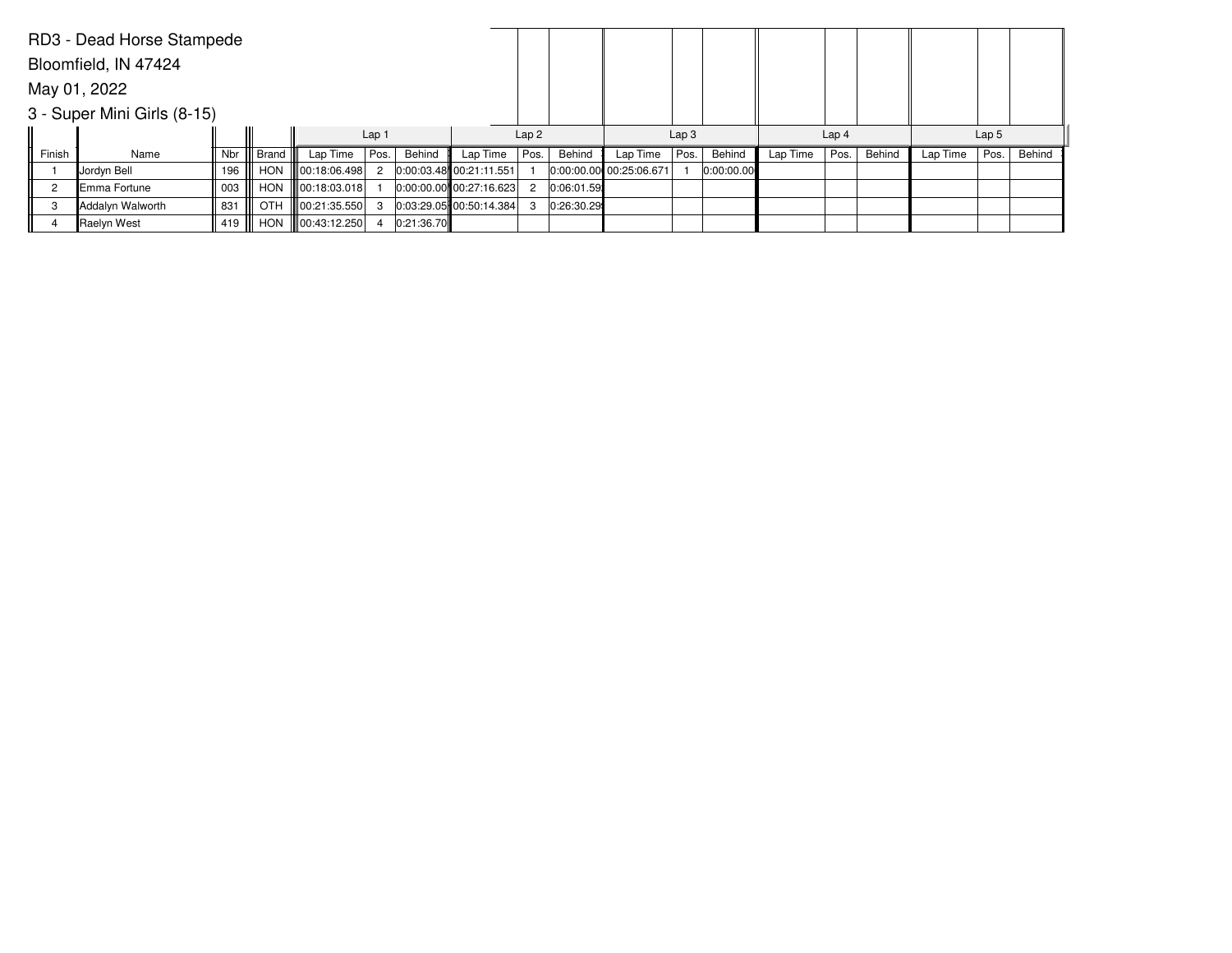|        | RD3 - Dead Horse Stampede   |     |            |                      |                  |            |                             |      |            |                         |                  |            |          |                  |        |          |                  |        |
|--------|-----------------------------|-----|------------|----------------------|------------------|------------|-----------------------------|------|------------|-------------------------|------------------|------------|----------|------------------|--------|----------|------------------|--------|
|        | Bloomfield, IN 47424        |     |            |                      |                  |            |                             |      |            |                         |                  |            |          |                  |        |          |                  |        |
|        | May 01, 2022                |     |            |                      |                  |            |                             |      |            |                         |                  |            |          |                  |        |          |                  |        |
|        | 3 - Super Mini Girls (8-15) |     |            |                      |                  |            |                             |      |            |                         |                  |            |          |                  |        |          |                  |        |
|        |                             |     |            |                      | Lap <sub>1</sub> |            |                             | Lap2 |            |                         | Lap <sub>3</sub> |            |          | Lap <sub>4</sub> |        |          | Lap <sub>5</sub> |        |
| Finish | Name                        | Nbr | Brand      | Lap Time             | Pos.             | Behind     | Lap Time                    | Pos. | Behind     | Lap Time                | Pos.             | Behind     | Lap Time | Pos.             | Behind | Lap Time | Pos.             | Behind |
|        | Jordyn Bell                 | 196 | HON        | 00:18:06.498         | $\overline{c}$   |            | $0:00:03.48$ 00:21:11.551   |      |            | 0:00:00.00 00:25:06.671 |                  | 0:00:00.00 |          |                  |        |          |                  |        |
| 2      | Emma Fortune                | 003 | <b>HON</b> | $\  00:18:03.018 \ $ |                  |            | $ 0:00:00.00 $ 00:27:16.623 | 2    | 0:06:01.59 |                         |                  |            |          |                  |        |          |                  |        |
| 3      | Addalyn Walworth            | 831 | <b>OTH</b> | $\  00:21:35.550 \ $ | -3               |            | $ 0.03:29.05 $ 00:50:14.384 | 3    | 0:26:30.29 |                         |                  |            |          |                  |        |          |                  |        |
|        | Raelyn West                 | 419 | HON        | $\  00:43:12.250 \ $ |                  | 0:21:36.70 |                             |      |            |                         |                  |            |          |                  |        |          |                  |        |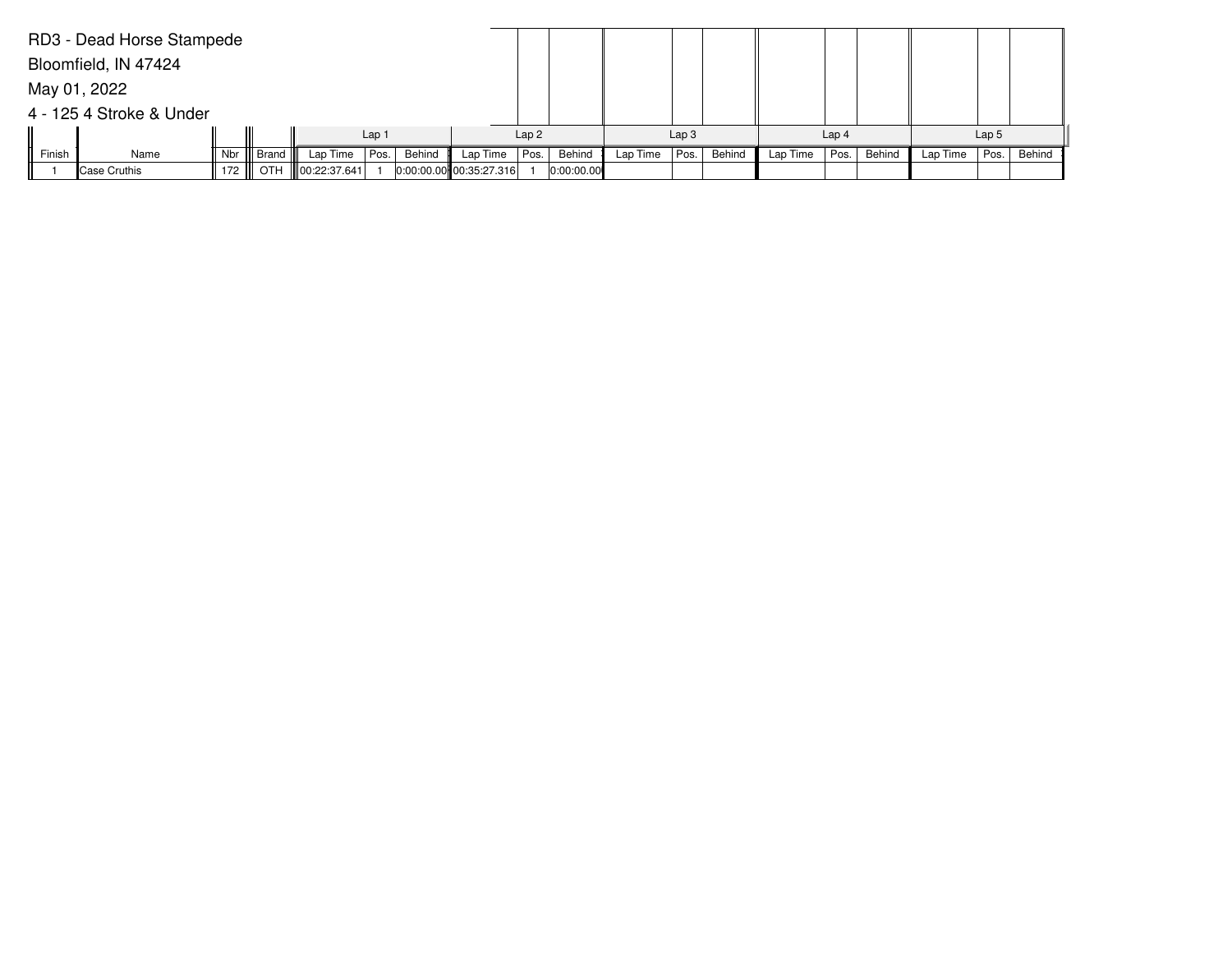|        | RD3 - Dead Horse Stampede |     |           |                           |      |        |                             |      |            |          |                  |        |          |                  |        |          |                  |        |
|--------|---------------------------|-----|-----------|---------------------------|------|--------|-----------------------------|------|------------|----------|------------------|--------|----------|------------------|--------|----------|------------------|--------|
|        | Bloomfield, IN 47424      |     |           |                           |      |        |                             |      |            |          |                  |        |          |                  |        |          |                  |        |
|        | May 01, 2022              |     |           |                           |      |        |                             |      |            |          |                  |        |          |                  |        |          |                  |        |
|        | 4 - 125 4 Stroke & Under  |     |           |                           |      |        |                             |      |            |          |                  |        |          |                  |        |          |                  |        |
|        | Lap <sub>1</sub>          |     |           |                           |      |        |                             | Lap2 |            |          | Lap <sub>3</sub> |        |          | Lap <sub>4</sub> |        |          | Lap <sub>5</sub> |        |
| Finish | Name                      | Nbr | Brand III | Lap Time                  | Pos. | Behind | Lap Time                    | Pos. | Behind     | Lap Time | Pos.             | Behind | Lap Time | Pos.             | Behind | Lap Time | Pos.             | Behind |
|        | Case Cruthis              |     |           | 172    OTH   00:22:37.641 |      |        | $ 0:00:00.00 $ 00:35:27.316 |      | 0:00:00.00 |          |                  |        |          |                  |        |          |                  |        |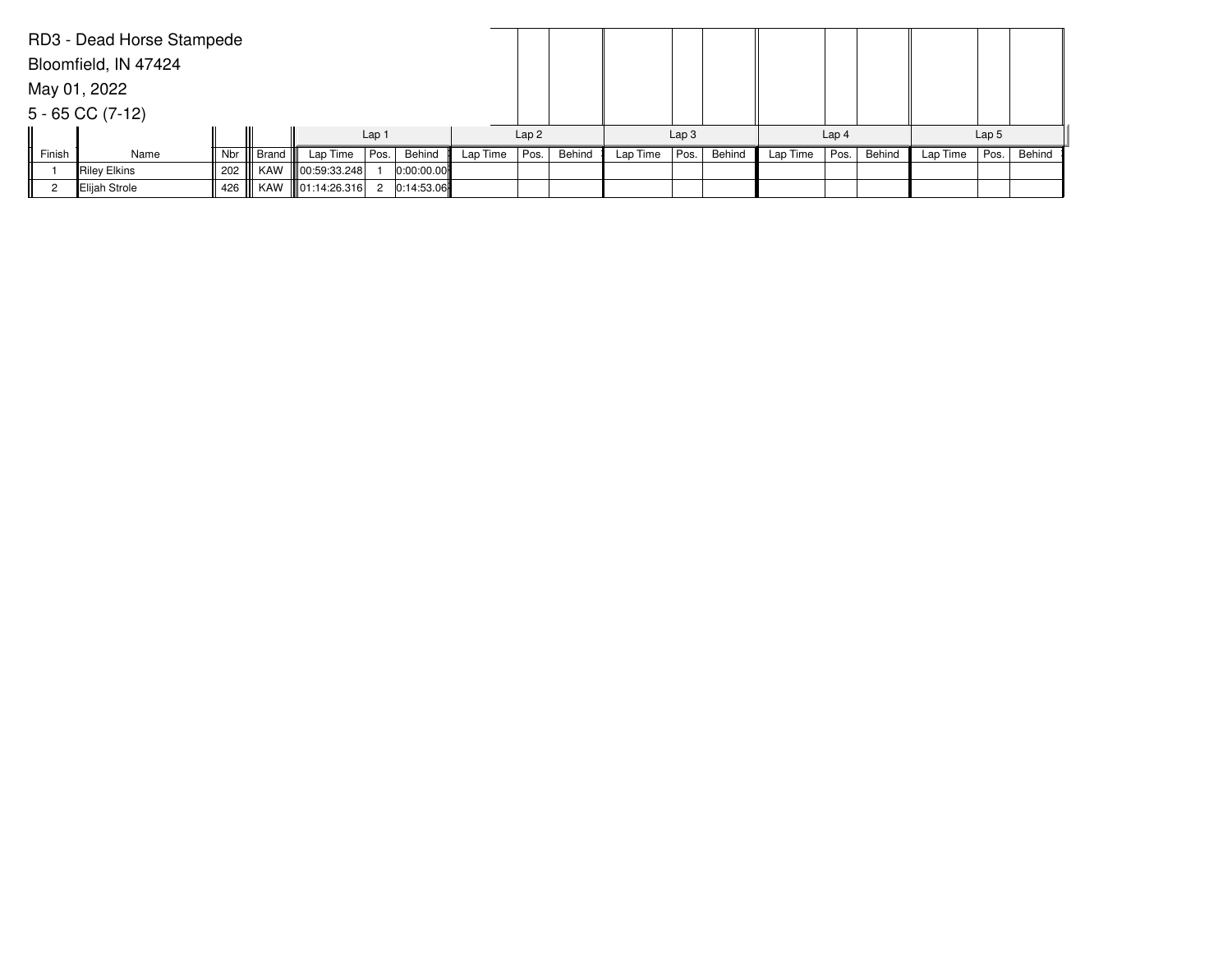|        | RD3 - Dead Horse Stampede |     |           |                             |      |            |          |      |        |          |                  |        |          |                  |        |          |                  |        |
|--------|---------------------------|-----|-----------|-----------------------------|------|------------|----------|------|--------|----------|------------------|--------|----------|------------------|--------|----------|------------------|--------|
|        | Bloomfield, IN 47424      |     |           |                             |      |            |          |      |        |          |                  |        |          |                  |        |          |                  |        |
|        | May 01, 2022              |     |           |                             |      |            |          |      |        |          |                  |        |          |                  |        |          |                  |        |
|        | $5 - 65$ CC (7-12)        |     |           |                             |      |            |          |      |        |          |                  |        |          |                  |        |          |                  |        |
|        |                           |     |           | Lap <sub>1</sub>            |      |            |          | Lap2 |        |          | Lap <sub>3</sub> |        |          | Lap <sub>4</sub> |        |          | Lap <sub>5</sub> |        |
| Finish | Name                      | Nbr | Brand III | Lap Time                    | Pos. | Behind     | Lap Time | Pos. | Behind | Lap Time | Pos.             | Behind | Lap Time | Pos.             | Behind | Lap Time | Pos.             | Behind |
|        | Riley Elkins              | 202 |           | KAW    00:59:33.248         |      | 0:00:00.00 |          |      |        |          |                  |        |          |                  |        |          |                  |        |
|        | Elijah Strole             |     |           | 426    KAW   01:14:26.316 2 |      | 0:14:53.06 |          |      |        |          |                  |        |          |                  |        |          |                  |        |